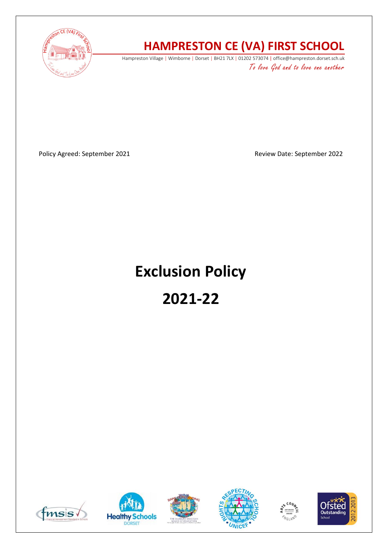

# **HAMPRESTON CE (VA) FIRST SCHOOL**

Hampreston Village | Wimborne | Dorset | BH21 7LX | 01202 573074 | office@hampreston.dorset.sch.uk To love God and to love one another

Policy Agreed: September 2021 and a september 2022

# **Exclusion Policy**

# **2021-22**











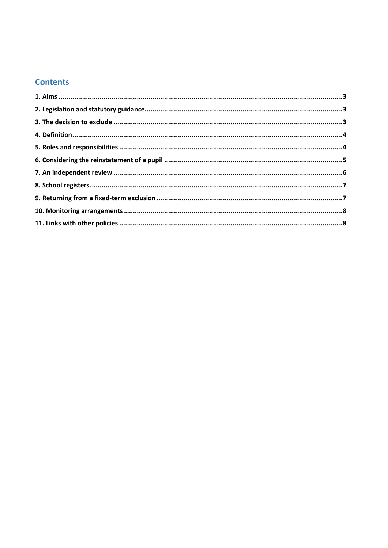# **Contents**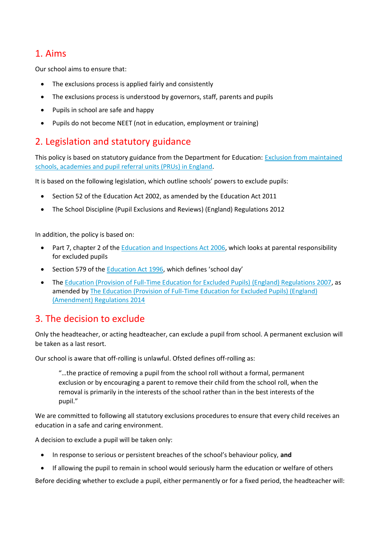# 1. Aims

Our school aims to ensure that:

- The exclusions process is applied fairly and consistently
- The exclusions process is understood by governors, staff, parents and pupils
- Pupils in school are safe and happy
- Pupils do not become NEET (not in education, employment or training)

# 2. Legislation and statutory guidance

This policy is based on statutory guidance from the Department for Education: [Exclusion from maintained](https://www.gov.uk/government/publications/school-exclusion)  [schools, academies and pupil referral units \(PRUs\) in England.](https://www.gov.uk/government/publications/school-exclusion)

It is based on the following legislation, which outline schools' powers to exclude pupils:

- Section 52 of the [Education Act 2002,](http://www.legislation.gov.uk/ukpga/2002/32/section/52) as amended by the [Education Act 2011](http://www.legislation.gov.uk/ukpga/2011/21/contents/enacted)
- [The School Discipline \(Pupil Exclusions and Reviews\) \(England\) Regulations 2012](http://www.legislation.gov.uk/uksi/2012/1033/made)

In addition, the policy is based on:

- Part 7, chapter 2 of the [Education and Inspections Act 2006,](http://www.legislation.gov.uk/ukpga/2006/40/part/7/chapter/2) which looks at parental responsibility for excluded pupils
- Section 579 of the [Education Act 1996](http://www.legislation.gov.uk/ukpga/1996/56/section/579), which defines 'school day'
- Th[e Education \(Provision of Full-Time Education for Excluded Pupils\) \(England\) Regulations 2007,](http://www.legislation.gov.uk/uksi/2007/1870/contents/made) as amended b[y The Education \(Provision of Full-Time Education for Excluded Pupils\) \(England\)](http://www.legislation.gov.uk/uksi/2014/3216/contents/made)  [\(Amendment\) Regulations 2014](http://www.legislation.gov.uk/uksi/2014/3216/contents/made)

## 3. The decision to exclude

Only the headteacher, or acting headteacher, can exclude a pupil from school. A permanent exclusion will be taken as a last resort.

Our school is aware that off-rolling is unlawful. Ofsted defines off-rolling as:

"…the practice of removing a pupil from the school roll without a formal, permanent exclusion or by encouraging a parent to remove their child from the school roll, when the removal is primarily in the interests of the school rather than in the best interests of the pupil."

We are committed to following all statutory exclusions procedures to ensure that every child receives an education in a safe and caring environment.

A decision to exclude a pupil will be taken only:

- In response to serious or persistent breaches of the school's behaviour policy, **and**
- If allowing the pupil to remain in school would seriously harm the education or welfare of others

Before deciding whether to exclude a pupil, either permanently or for a fixed period, the headteacher will: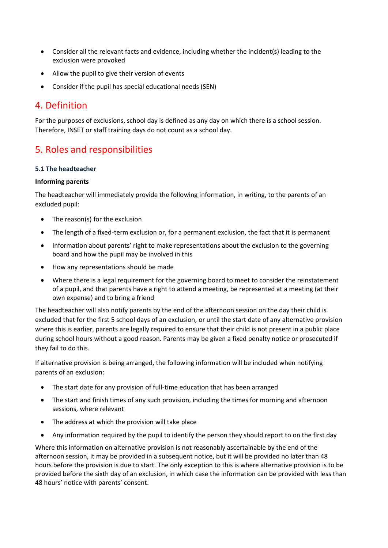- Consider all the relevant facts and evidence, including whether the incident(s) leading to the exclusion were provoked
- Allow the pupil to give their version of events
- Consider if the pupil has special educational needs (SEN)

## 4. Definition

For the purposes of exclusions, school day is defined as any day on which there is a school session. Therefore, INSET or staff training days do not count as a school day.

# 5. Roles and responsibilities

#### **5.1 The headteacher**

#### **Informing parents**

The headteacher will immediately provide the following information, in writing, to the parents of an excluded pupil:

- The reason(s) for the exclusion
- The length of a fixed-term exclusion or, for a permanent exclusion, the fact that it is permanent
- Information about parents' right to make representations about the exclusion to the governing board and how the pupil may be involved in this
- How any representations should be made
- Where there is a legal requirement for the governing board to meet to consider the reinstatement of a pupil, and that parents have a right to attend a meeting, be represented at a meeting (at their own expense) and to bring a friend

The headteacher will also notify parents by the end of the afternoon session on the day their child is excluded that for the first 5 school days of an exclusion, or until the start date of any alternative provision where this is earlier, parents are legally required to ensure that their child is not present in a public place during school hours without a good reason. Parents may be given a fixed penalty notice or prosecuted if they fail to do this.

If alternative provision is being arranged, the following information will be included when notifying parents of an exclusion:

- The start date for any provision of full-time education that has been arranged
- The start and finish times of any such provision, including the times for morning and afternoon sessions, where relevant
- The address at which the provision will take place
- Any information required by the pupil to identify the person they should report to on the first day

Where this information on alternative provision is not reasonably ascertainable by the end of the afternoon session, it may be provided in a subsequent notice, but it will be provided no later than 48 hours before the provision is due to start. The only exception to this is where alternative provision is to be provided before the sixth day of an exclusion, in which case the information can be provided with less than 48 hours' notice with parents' consent.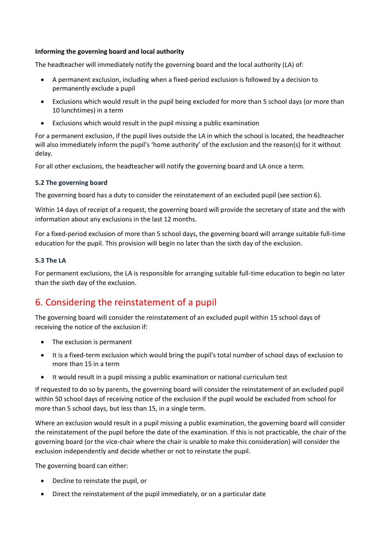#### **Informing the governing board and local authority**

The headteacher will immediately notify the governing board and the local authority (LA) of:

- A permanent exclusion, including when a fixed-period exclusion is followed by a decision to permanently exclude a pupil
- Exclusions which would result in the pupil being excluded for more than 5 school days (or more than 10 lunchtimes) in a term
- Exclusions which would result in the pupil missing a public examination

For a permanent exclusion, if the pupil lives outside the LA in which the school is located, the headteacher will also immediately inform the pupil's 'home authority' of the exclusion and the reason(s) for it without delay.

For all other exclusions, the headteacher will notify the governing board and LA once a term.

#### **5.2 The governing board**

The governing board has a duty to consider the reinstatement of an excluded pupil (see section 6).

Within 14 days of receipt of a request, the governing board will provide the secretary of state and the with information about any exclusions in the last 12 months.

For a fixed-period exclusion of more than 5 school days, the governing board will arrange suitable full-time education for the pupil. This provision will begin no later than the sixth day of the exclusion.

#### **5.3 The LA**

For permanent exclusions, the LA is responsible for arranging suitable full-time education to begin no later than the sixth day of the exclusion.

# 6. Considering the reinstatement of a pupil

The governing board will consider the reinstatement of an excluded pupil within 15 school days of receiving the notice of the exclusion if:

- The exclusion is permanent
- It is a fixed-term exclusion which would bring the pupil's total number of school days of exclusion to more than 15 in a term
- It would result in a pupil missing a public examination or national curriculum test

If requested to do so by parents, the governing board will consider the reinstatement of an excluded pupil within 50 school days of receiving notice of the exclusion if the pupil would be excluded from school for more than 5 school days, but less than 15, in a single term.

Where an exclusion would result in a pupil missing a public examination, the governing board will consider the reinstatement of the pupil before the date of the examination. If this is not practicable, the chair of the governing board (or the vice-chair where the chair is unable to make this consideration) will consider the exclusion independently and decide whether or not to reinstate the pupil.

The governing board can either:

- Decline to reinstate the pupil, or
- Direct the reinstatement of the pupil immediately, or on a particular date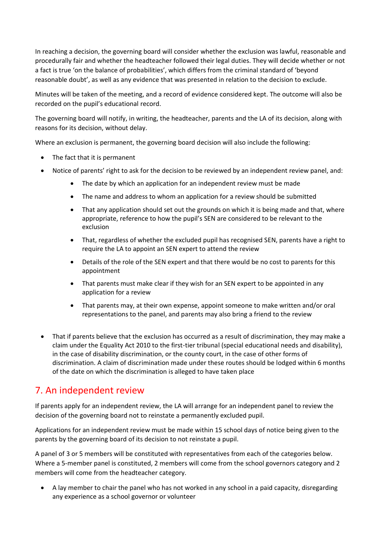In reaching a decision, the governing board will consider whether the exclusion was lawful, reasonable and procedurally fair and whether the headteacher followed their legal duties. They will decide whether or not a fact is true 'on the balance of probabilities', which differs from the criminal standard of 'beyond reasonable doubt', as well as any evidence that was presented in relation to the decision to exclude.

Minutes will be taken of the meeting, and a record of evidence considered kept. The outcome will also be recorded on the pupil's educational record.

The governing board will notify, in writing, the headteacher, parents and the LA of its decision, along with reasons for its decision, without delay.

Where an exclusion is permanent, the governing board decision will also include the following:

- The fact that it is permanent
- Notice of parents' right to ask for the decision to be reviewed by an independent review panel, and:
	- The date by which an application for an independent review must be made
	- The name and address to whom an application for a review should be submitted
	- That any application should set out the grounds on which it is being made and that, where appropriate, reference to how the pupil's SEN are considered to be relevant to the exclusion
	- That, regardless of whether the excluded pupil has recognised SEN, parents have a right to require the LA to appoint an SEN expert to attend the review
	- Details of the role of the SEN expert and that there would be no cost to parents for this appointment
	- That parents must make clear if they wish for an SEN expert to be appointed in any application for a review
	- That parents may, at their own expense, appoint someone to make written and/or oral representations to the panel, and parents may also bring a friend to the review
- That if parents believe that the exclusion has occurred as a result of discrimination, they may make a claim under the Equality Act 2010 to the first-tier tribunal (special educational needs and disability), in the case of disability discrimination, or the county court, in the case of other forms of discrimination. A claim of discrimination made under these routes should be lodged within 6 months of the date on which the discrimination is alleged to have taken place

## 7. An independent review

If parents apply for an independent review, the LA will arrange for an independent panel to review the decision of the governing board not to reinstate a permanently excluded pupil.

Applications for an independent review must be made within 15 school days of notice being given to the parents by the governing board of its decision to not reinstate a pupil.

A panel of 3 or 5 members will be constituted with representatives from each of the categories below. Where a 5-member panel is constituted, 2 members will come from the school governors category and 2 members will come from the headteacher category.

• A lay member to chair the panel who has not worked in any school in a paid capacity, disregarding any experience as a school governor or volunteer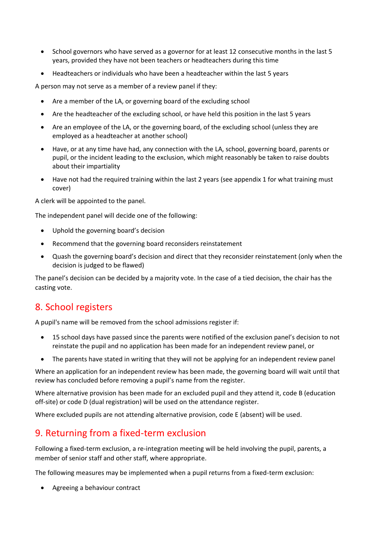- School governors who have served as a governor for at least 12 consecutive months in the last 5 years, provided they have not been teachers or headteachers during this time
- Headteachers or individuals who have been a headteacher within the last 5 years

A person may not serve as a member of a review panel if they:

- Are a member of the LA, or governing board of the excluding school
- Are the headteacher of the excluding school, or have held this position in the last 5 years
- Are an employee of the LA, or the governing board, of the excluding school (unless they are employed as a headteacher at another school)
- Have, or at any time have had, any connection with the LA, school, governing board, parents or pupil, or the incident leading to the exclusion, which might reasonably be taken to raise doubts about their impartiality
- Have not had the required training within the last 2 years (see appendix 1 for what training must cover)

A clerk will be appointed to the panel.

The independent panel will decide one of the following:

- Uphold the governing board's decision
- Recommend that the governing board reconsiders reinstatement
- Quash the governing board's decision and direct that they reconsider reinstatement (only when the decision is judged to be flawed)

The panel's decision can be decided by a majority vote. In the case of a tied decision, the chair has the casting vote.

# 8. School registers

A pupil's name will be removed from the school admissions register if:

- 15 school days have passed since the parents were notified of the exclusion panel's decision to not reinstate the pupil and no application has been made for an independent review panel, or
- The parents have stated in writing that they will not be applying for an independent review panel

Where an application for an independent review has been made, the governing board will wait until that review has concluded before removing a pupil's name from the register.

Where alternative provision has been made for an excluded pupil and they attend it, code B (education off-site) or code D (dual registration) will be used on the attendance register.

Where excluded pupils are not attending alternative provision, code E (absent) will be used.

# 9. Returning from a fixed-term exclusion

Following a fixed-term exclusion, a re-integration meeting will be held involving the pupil, parents, a member of senior staff and other staff, where appropriate.

The following measures may be implemented when a pupil returns from a fixed-term exclusion:

• Agreeing a behaviour contract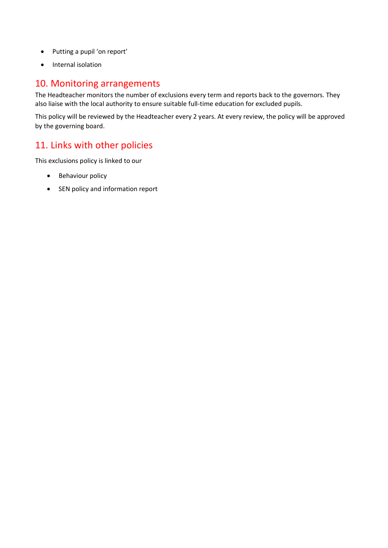- Putting a pupil 'on report'
- Internal isolation

# 10. Monitoring arrangements

The Headteacher monitors the number of exclusions every term and reports back to the governors. They also liaise with the local authority to ensure suitable full-time education for excluded pupils.

This policy will be reviewed by the Headteacher every 2 years. At every review, the policy will be approved by the governing board.

# 11. Links with other policies

This exclusions policy is linked to our

- Behaviour policy
- SEN policy and information report